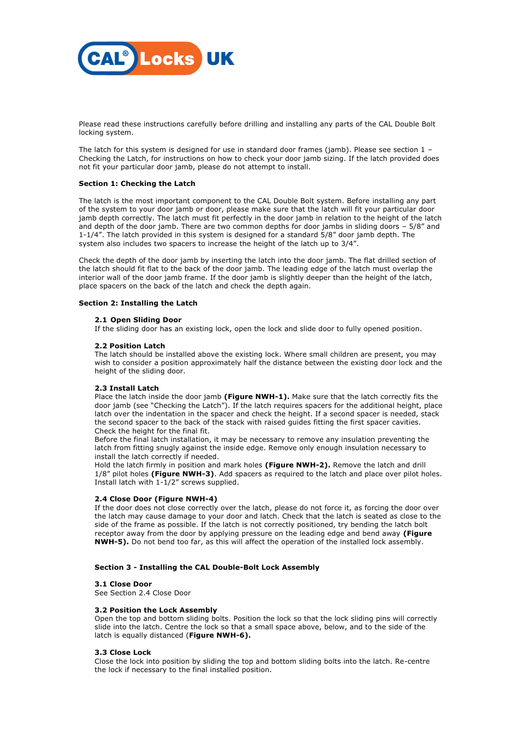

Please read these instructions carefully before drilling and installing any parts of the CAL Double Bolt locking system.

The latch for this system is designed for use in standard door frames (jamb). Please see section  $1 -$ Checking the Latch, for instructions on how to check your door jamb sizing. If the latch provided does not fit your particular door jamb, please do not attempt to install.

## **Section 1: Checking the Latch**

The latch is the most important component to the CAL Double Bolt system. Before installing any part of the system to your door jamb or door, please make sure that the latch will fit your particular door jamb depth correctly. The latch must fit perfectly in the door jamb in relation to the height of the latch and depth of the door jamb. There are two common depths for door jambs in sliding doors – 5/8" and 1-1/4". The latch provided in this system is designed for a standard 5/8" door jamb depth. The system also includes two spacers to increase the height of the latch up to 3/4".

Check the depth of the door jamb by inserting the latch into the door jamb. The flat drilled section of the latch should fit flat to the back of the door jamb. The leading edge of the latch must overlap the interior wall of the door jamb frame. If the door jamb is slightly deeper than the height of the latch, place spacers on the back of the latch and check the depth again.

## **Section 2: Installing the Latch**

## **2.1 Open Sliding Door**

If the sliding door has an existing lock, open the lock and slide door to fully opened position.

## **2.2 Position Latch**

The latch should be installed above the existing lock. Where small children are present, you may wish to consider a position approximately half the distance between the existing door lock and the height of the sliding door.

# **2.3 Install Latch**

Place the latch inside the door jamb **(Figure NWH-1).** Make sure that the latch correctly fits the door jamb (see "Checking the Latch"). If the latch requires spacers for the additional height, place latch over the indentation in the spacer and check the height. If a second spacer is needed, stack the second spacer to the back of the stack with raised guides fitting the first spacer cavities. Check the height for the final fit.

Before the final latch installation, it may be necessary to remove any insulation preventing the latch from fitting snugly against the inside edge. Remove only enough insulation necessary to install the latch correctly if needed.

Hold the latch firmly in position and mark holes **(Figure NWH-2).** Remove the latch and drill 1/8" pilot holes **(Figure NWH-3)**. Add spacers as required to the latch and place over pilot holes. Install latch with 1-1/2" screws supplied.

# **2.4 Close Door (Figure NWH-4)**

If the door does not close correctly over the latch, please do not force it, as forcing the door over the latch may cause damage to your door and latch. Check that the latch is seated as close to the side of the frame as possible. If the latch is not correctly positioned, try bending the latch bolt receptor away from the door by applying pressure on the leading edge and bend away **(Figure NWH-5).** Do not bend too far, as this will affect the operation of the installed lock assembly.

## **Section 3 - Installing the CAL Double-Bolt Lock Assembly**

## **3.1 Close Door**

See Section 2.4 Close Door

## **3.2 Position the Lock Assembly**

Open the top and bottom sliding bolts. Position the lock so that the lock sliding pins will correctly slide into the latch. Centre the lock so that a small space above, below, and to the side of the latch is equally distanced (**Figure NWH-6).**

## **3.3 Close Lock**

Close the lock into position by sliding the top and bottom sliding bolts into the latch. Re-centre the lock if necessary to the final installed position.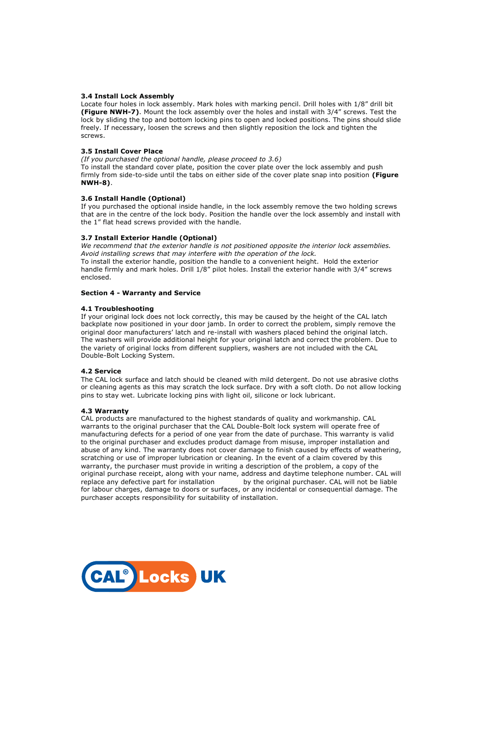# **3.4 Install Lock Assembly**

Locate four holes in lock assembly. Mark holes with marking pencil. Drill holes with 1/8" drill bit **(Figure NWH-7)**. Mount the lock assembly over the holes and install with 3/4" screws. Test the lock by sliding the top and bottom locking pins to open and locked positions. The pins should slide freely. If necessary, loosen the screws and then slightly reposition the lock and tighten the screws.

# **3.5 Install Cover Place**

*(If you purchased the optional handle, please proceed to 3.6)* 

To install the standard cover plate, position the cover plate over the lock assembly and push firmly from side-to-side until the tabs on either side of the cover plate snap into position **(Figure NWH-8)**.

# **3.6 Install Handle (Optional)**

If you purchased the optional inside handle, in the lock assembly remove the two holding screws that are in the centre of the lock body. Position the handle over the lock assembly and install with the 1" flat head screws provided with the handle.

## **3.7 Install Exterior Handle (Optional)**

*We recommend that the exterior handle is not positioned opposite the interior lock assemblies. Avoid installing screws that may interfere with the operation of the lock.*  To install the exterior handle, position the handle to a convenient height. Hold the exterior handle firmly and mark holes. Drill 1/8" pilot holes. Install the exterior handle with 3/4" screws enclosed.

## **Section 4 - Warranty and Service**

## **4.1 Troubleshooting**

If your original lock does not lock correctly, this may be caused by the height of the CAL latch backplate now positioned in your door jamb. In order to correct the problem, simply remove the original door manufacturers' latch and re-install with washers placed behind the original latch. The washers will provide additional height for your original latch and correct the problem. Due to the variety of original locks from different suppliers, washers are not included with the CAL Double-Bolt Locking System.

## **4.2 Service**

The CAL lock surface and latch should be cleaned with mild detergent. Do not use abrasive cloths or cleaning agents as this may scratch the lock surface. Dry with a soft cloth. Do not allow locking pins to stay wet. Lubricate locking pins with light oil, silicone or lock lubricant.

## **4.3 Warranty**

CAL products are manufactured to the highest standards of quality and workmanship. CAL warrants to the original purchaser that the CAL Double-Bolt lock system will operate free of manufacturing defects for a period of one year from the date of purchase. This warranty is valid to the original purchaser and excludes product damage from misuse, improper installation and abuse of any kind. The warranty does not cover damage to finish caused by effects of weathering, scratching or use of improper lubrication or cleaning. In the event of a claim covered by this warranty, the purchaser must provide in writing a description of the problem, a copy of the original purchase receipt, along with your name, address and daytime telephone number. CAL will replace any defective part for installation by the original purchaser. CAL will not be liable for labour charges, damage to doors or surfaces, or any incidental or consequential damage. The purchaser accepts responsibility for suitability of installation.